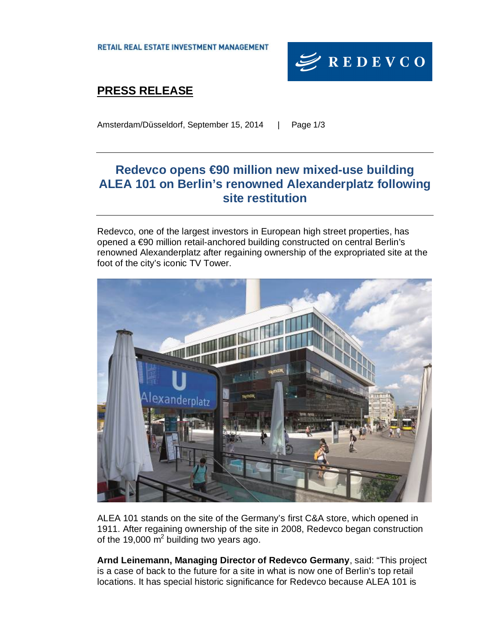**RETAIL REAL ESTATE INVESTMENT MANAGEMENT** 



# **PRESS RELEASE**

Amsterdam/Düsseldorf, September 15, 2014 | Page 1/3

## **Redevco opens €90 million new mixed-use building ALEA 101 on Berlin's renowned Alexanderplatz following site restitution**

Redevco, one of the largest investors in European high street properties, has opened a €90 million retail-anchored building constructed on central Berlin's renowned Alexanderplatz after regaining ownership of the expropriated site at the foot of the city's iconic TV Tower.



ALEA 101 stands on the site of the Germany's first C&A store, which opened in 1911. After regaining ownership of the site in 2008, Redevco began construction of the 19,000  $\mathrm{m}^2$  building two years ago.

**Arnd Leinemann, Managing Director of Redevco Germany**, said: "This project is a case of back to the future for a site in what is now one of Berlin's top retail locations. It has special historic significance for Redevco because ALEA 101 is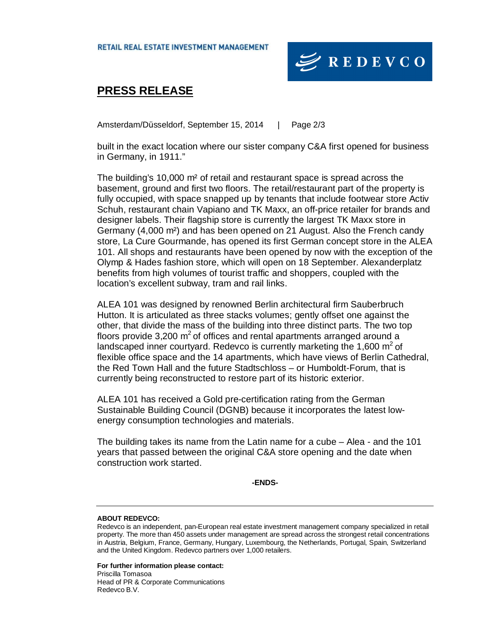

### **PRESS RELEASE**

Amsterdam/Düsseldorf, September 15, 2014 | Page 2/3

built in the exact location where our sister company C&A first opened for business in Germany, in 1911."

The building's 10,000 m² of retail and restaurant space is spread across the basement, ground and first two floors. The retail/restaurant part of the property is fully occupied, with space snapped up by tenants that include footwear store Activ Schuh, restaurant chain Vapiano and TK Maxx, an off-price retailer for brands and designer labels. Their flagship store is currently the largest TK Maxx store in Germany (4,000 m²) and has been opened on 21 August. Also the French candy store, La Cure Gourmande, has opened its first German concept store in the ALEA 101. All shops and restaurants have been opened by now with the exception of the Olymp & Hades fashion store, which will open on 18 September. Alexanderplatz benefits from high volumes of tourist traffic and shoppers, coupled with the location's excellent subway, tram and rail links.

ALEA 101 was designed by renowned Berlin architectural firm Sauberbruch Hutton. It is articulated as three stacks volumes; gently offset one against the other, that divide the mass of the building into three distinct parts. The two top floors provide 3,200  $m^2$  of offices and rental apartments arranged around a landscaped inner courtyard. Redevco is currently marketing the 1,600  $m^2$  of flexible office space and the 14 apartments, which have views of Berlin Cathedral, the Red Town Hall and the future Stadtschloss – or Humboldt-Forum, that is currently being reconstructed to restore part of its historic exterior.

ALEA 101 has received a Gold pre-certification rating from the German Sustainable Building Council (DGNB) because it incorporates the latest lowenergy consumption technologies and materials.

The building takes its name from the Latin name for a cube – Alea - and the 101 years that passed between the original C&A store opening and the date when construction work started.

**-ENDS-** 

#### **ABOUT REDEVCO:**

**For further information please contact:**  Priscilla Tomasoa Head of PR & Corporate Communications Redevco B.V.

Redevco is an independent, pan-European real estate investment management company specialized in retail property. The more than 450 assets under management are spread across the strongest retail concentrations in Austria, Belgium, France, Germany, Hungary, Luxembourg, the Netherlands, Portugal, Spain, Switzerland and the United Kingdom. Redevco partners over 1,000 retailers.